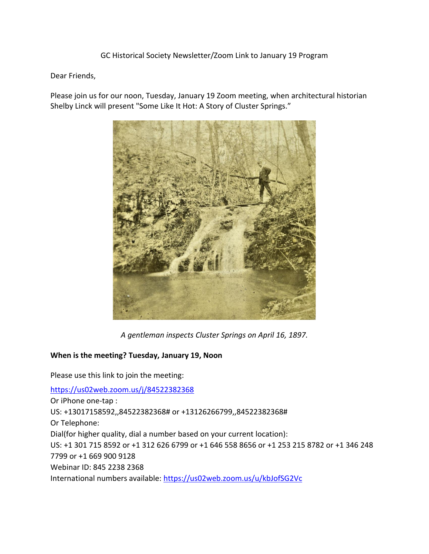GC Historical Society Newsletter/Zoom Link to January 19 Program

Dear Friends,

Please join us for our noon, Tuesday, January 19 Zoom meeting, when architectural historian Shelby Linck will present "Some Like It Hot: A Story of Cluster Springs."



*A gentleman inspects Cluster Springs on April 16, 1897.*

### **When is the meeting? Tuesday, January 19, Noon**

Please use this link to join the meeting: <https://us02web.zoom.us/j/84522382368> Or iPhone one-tap : US: +13017158592,,84522382368# or +13126266799,,84522382368# Or Telephone: Dial(for higher quality, dial a number based on your current location): US: +1 301 715 8592 or +1 312 626 6799 or +1 646 558 8656 or +1 253 215 8782 or +1 346 248 7799 or +1 669 900 9128 Webinar ID: 845 2238 2368 International numbers available:<https://us02web.zoom.us/u/kbJofSG2Vc>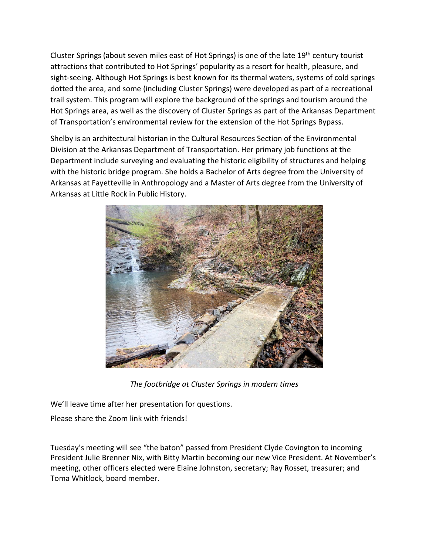Cluster Springs (about seven miles east of Hot Springs) is one of the late 19th century tourist attractions that contributed to Hot Springs' popularity as a resort for health, pleasure, and sight-seeing. Although Hot Springs is best known for its thermal waters, systems of cold springs dotted the area, and some (including Cluster Springs) were developed as part of a recreational trail system. This program will explore the background of the springs and tourism around the Hot Springs area, as well as the discovery of Cluster Springs as part of the Arkansas Department of Transportation's environmental review for the extension of the Hot Springs Bypass.

Shelby is an architectural historian in the Cultural Resources Section of the Environmental Division at the Arkansas Department of Transportation. Her primary job functions at the Department include surveying and evaluating the historic eligibility of structures and helping with the historic bridge program. She holds a Bachelor of Arts degree from the University of Arkansas at Fayetteville in Anthropology and a Master of Arts degree from the University of Arkansas at Little Rock in Public History.



*The footbridge at Cluster Springs in modern times*

We'll leave time after her presentation for questions.

Please share the Zoom link with friends!

Tuesday's meeting will see "the baton" passed from President Clyde Covington to incoming President Julie Brenner Nix, with Bitty Martin becoming our new Vice President. At November's meeting, other officers elected were Elaine Johnston, secretary; Ray Rosset, treasurer; and Toma Whitlock, board member.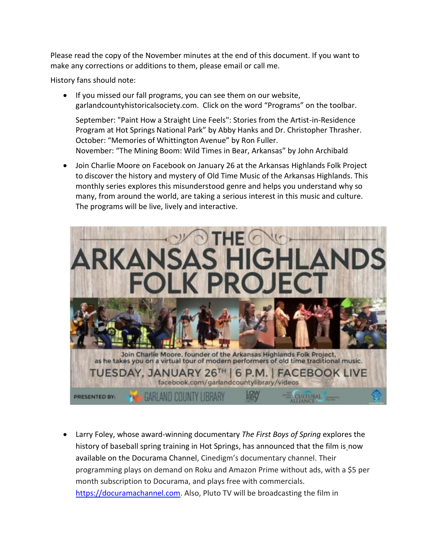Please read the copy of the November minutes at the end of this document. If you want to make any corrections or additions to them, please email or call me.

History fans should note:

• If you missed our fall programs, you can see them on our website, garlandcountyhistoricalsociety.com. Click on the word "Programs" on the toolbar.

September: "Paint How a Straight Line Feels": Stories from the Artist-in-Residence Program at Hot Springs National Park" by Abby Hanks and Dr. Christopher Thrasher. October: "Memories of Whittington Avenue" by Ron Fuller. November: "The Mining Boom: Wild Times in Bear, Arkansas" by John Archibald

• Join Charlie Moore on Facebook on January 26 at the Arkansas Highlands Folk Project to discover the history and mystery of Old Time Music of the Arkansas Highlands. This monthly series explores this misunderstood genre and helps you understand why so many, from around the world, are taking a serious interest in this music and culture. The programs will be live, lively and interactive.



• Larry Foley, whose award-winning documentary *The First Boys of Spring* explores the history of baseball spring training in Hot Springs, has announced that the film is now available on the Docurama Channel, Cinedigm's documentary channel. Their programming plays on demand on Roku and Amazon Prime without ads, with a \$5 per month subscription to Docurama, and plays free with commercials. [https://docuramachannel.com.](https://docuramachannel.com/) Also, Pluto TV will be broadcasting the film in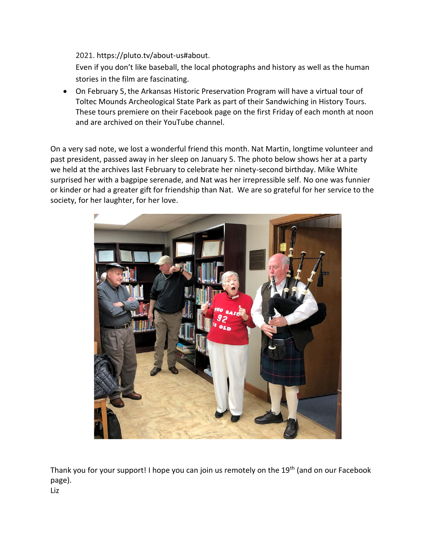2021. [https://pluto.tv/about-us#about.](https://pluto.tv/about-us#about)

Even if you don't like baseball, the local photographs and history as well as the human stories in the film are fascinating.

• On February 5,the Arkansas Historic Preservation Program will have a virtual tour of Toltec Mounds Archeological State Park as part of their Sandwiching in History Tours. These tours premiere on their Facebook page on the first Friday of each month at noon and are archived on their YouTube channel.

On a very sad note, we lost a wonderful friend this month. Nat Martin, longtime volunteer and past president, passed away in her sleep on January 5. The photo below shows her at a party we held at the archives last February to celebrate her ninety-second birthday. Mike White surprised her with a bagpipe serenade, and Nat was her irrepressible self. No one was funnier or kinder or had a greater gift for friendship than Nat. We are so grateful for her service to the society, for her laughter, for her love.



Thank you for your support! I hope you can join us remotely on the 19<sup>th</sup> (and on our Facebook page).

Liz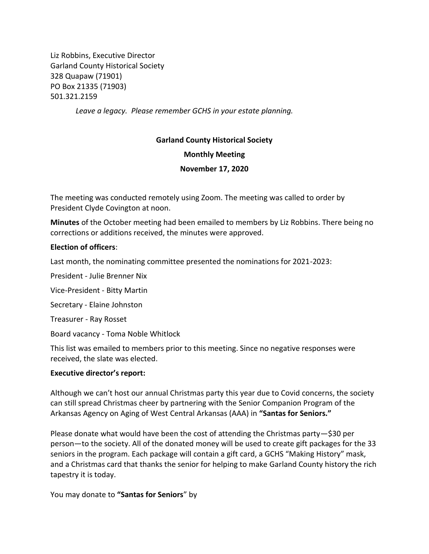Liz Robbins, Executive Director Garland County Historical Society 328 Quapaw (71901) PO Box 21335 (71903) 501.321.2159

*Leave a legacy. Please remember GCHS in your estate planning.*

# **Garland County Historical Society**

### **Monthly Meeting**

### **November 17, 2020**

The meeting was conducted remotely using Zoom. The meeting was called to order by President Clyde Covington at noon.

**Minutes** of the October meeting had been emailed to members by Liz Robbins. There being no corrections or additions received, the minutes were approved.

### **Election of officers**:

Last month, the nominating committee presented the nominations for 2021-2023:

President - Julie Brenner Nix

Vice-President - Bitty Martin

Secretary - Elaine Johnston

Treasurer - Ray Rosset

Board vacancy - Toma Noble Whitlock

This list was emailed to members prior to this meeting. Since no negative responses were received, the slate was elected.

#### **Executive director's report:**

Although we can't host our annual Christmas party this year due to Covid concerns, the society can still spread Christmas cheer by partnering with the Senior Companion Program of the Arkansas Agency on Aging of West Central Arkansas (AAA) in **"Santas for Seniors."**

Please donate what would have been the cost of attending the Christmas party—\$30 per person—to the society. All of the donated money will be used to create gift packages for the 33 seniors in the program. Each package will contain a gift card, a GCHS "Making History" mask, and a Christmas card that thanks the senior for helping to make Garland County history the rich tapestry it is today.

You may donate to **"Santas for Seniors**" by